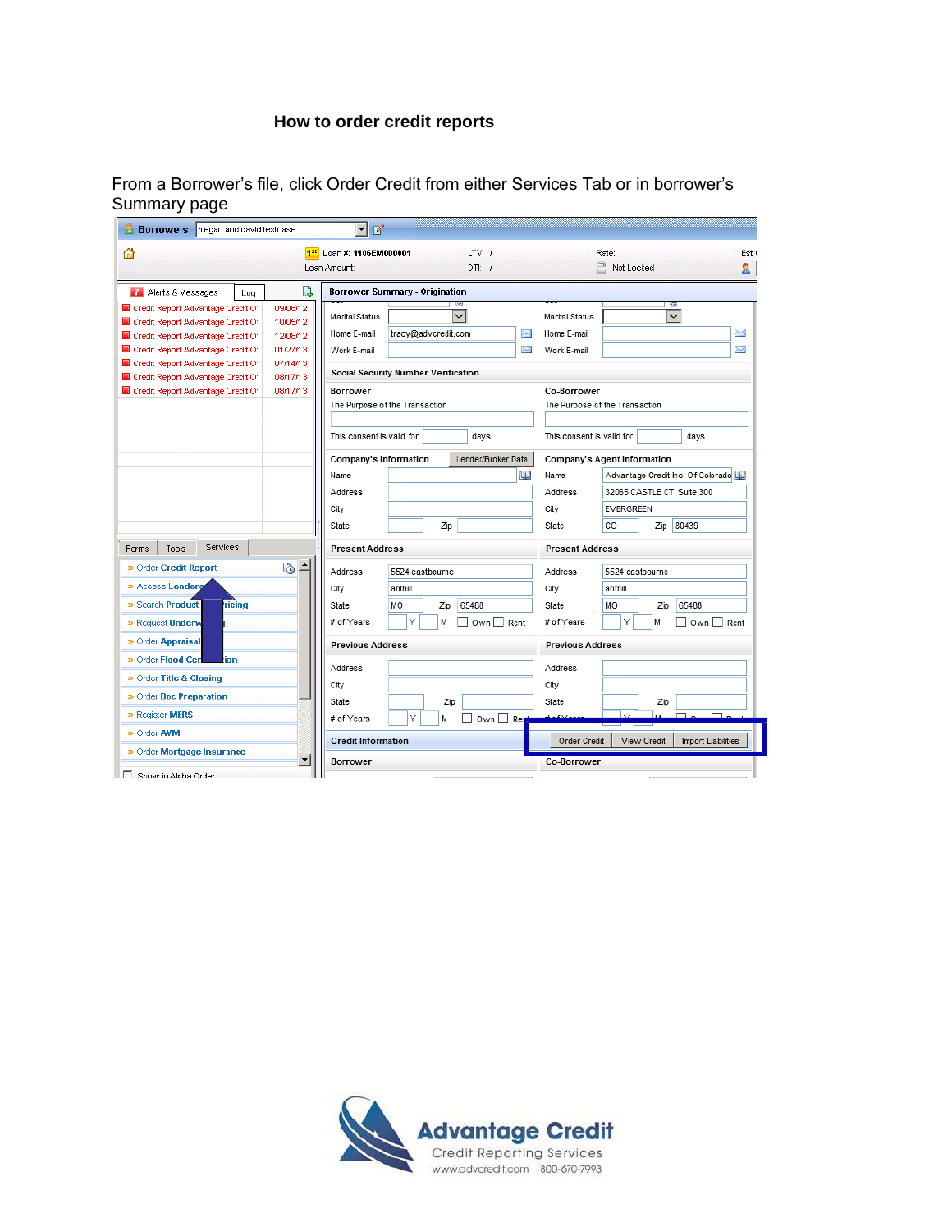## **How to order credit reports**

From a Borrower's file, click Order Credit from either Services Tab or in borrower's Summary page

| <b>Borrowers</b> megan and david testcase                                                                                                       | Н<br>$\mathbb{Z}$          |                                            |                                      |                                          |
|-------------------------------------------------------------------------------------------------------------------------------------------------|----------------------------|--------------------------------------------|--------------------------------------|------------------------------------------|
| ⋒                                                                                                                                               | 1st Loan #: 1106EM000001   | LTV: /                                     |                                      | Est (<br>Rate:                           |
|                                                                                                                                                 | Loan Amount:               | $DTL$ /                                    |                                      | A Not Locked<br>S.                       |
| Γà<br>Alerts & Messages<br>Log                                                                                                                  |                            | <b>Borrower Summary - Origination</b>      |                                      |                                          |
| 09/08/12<br>Credit Report Advantage Credit Of<br>10/05/12<br>Credit Report Advantage Credit Of                                                  | Marital Status             | ◡                                          | <b>Marital Status</b>                | ā<br>✓<br>N                              |
| Credit Report Advantage Credit Of<br>12/08/12<br>01/27/13<br>Credit Report Advantage Credit Of<br>Credit Report Advantage Credit Of<br>07/14/13 | Home E-mail<br>Work E-mail | tracy@advcredit.com                        | Home E-mail<br>X<br>X<br>Work E-mail | X                                        |
| Credit Report Advantage Credit Of<br>08/17/13                                                                                                   |                            | <b>Social Security Number Verification</b> |                                      |                                          |
| 08/17/13<br>Credit Report Advantage Credit Of                                                                                                   | Borrower                   | The Purpose of the Transaction             | Co-Borrower                          | The Purpose of the Transaction           |
|                                                                                                                                                 | This consent is valid for  | days                                       | This consent is valid for            | days                                     |
|                                                                                                                                                 | Company's Information      | Lender/Broker Data                         |                                      | <b>Company's Agent Information</b>       |
|                                                                                                                                                 | Name                       |                                            | L£.<br>Name                          | Advantage Credit Inc. Of Colorado        |
|                                                                                                                                                 | Address                    |                                            | Address                              | 32065 CASTLE CT, Suite 300               |
|                                                                                                                                                 | City                       |                                            | City                                 | <b>EVERGREEN</b>                         |
|                                                                                                                                                 | State                      | Zip                                        | State                                | 80439<br>CO<br>Zip                       |
| <b>Services</b><br>Tools<br>Forms                                                                                                               | <b>Present Address</b>     |                                            | <b>Present Address</b>               |                                          |
| Ŀ<br>b<br>» Order Credit Report                                                                                                                 | Address                    | 5524 eastbourne                            | Address                              | 5524 eastbourne                          |
| » Access Lenders                                                                                                                                | City                       | anthill                                    | City                                 | anthill                                  |
| » Search Product<br>ricing                                                                                                                      | State                      | 65488<br>MO<br>Zip                         | State                                | 65488<br>MO<br>Zip                       |
| » Request Underw                                                                                                                                | # of Years                 | Υ<br>м<br>□ Own □ Rent                     | # of Years                           | ٧<br>Own □ Rent<br>м                     |
| » Order Appraisal                                                                                                                               | <b>Previous Address</b>    |                                            | <b>Previous Address</b>              |                                          |
| > Order Flood Cen<br>tion                                                                                                                       | Address                    |                                            | Address                              |                                          |
| » Order Title & Closing                                                                                                                         | City                       |                                            | City                                 |                                          |
| » Order Doc Preparation                                                                                                                         | State                      | Zip                                        | State                                | Zip                                      |
| » Register MERS                                                                                                                                 | # of Years                 | Υ<br>Own $\Box$ Ren<br>М                   |                                      |                                          |
| » Order AVM                                                                                                                                     | <b>Credit Information</b>  |                                            | Order Credit                         | View Credit<br><b>Import Liabilities</b> |
| » Order Mortgage Insurance<br>▼                                                                                                                 | <b>Borrower</b>            |                                            | Co-Borrower                          |                                          |
| Show in Alpha Order                                                                                                                             |                            |                                            |                                      |                                          |

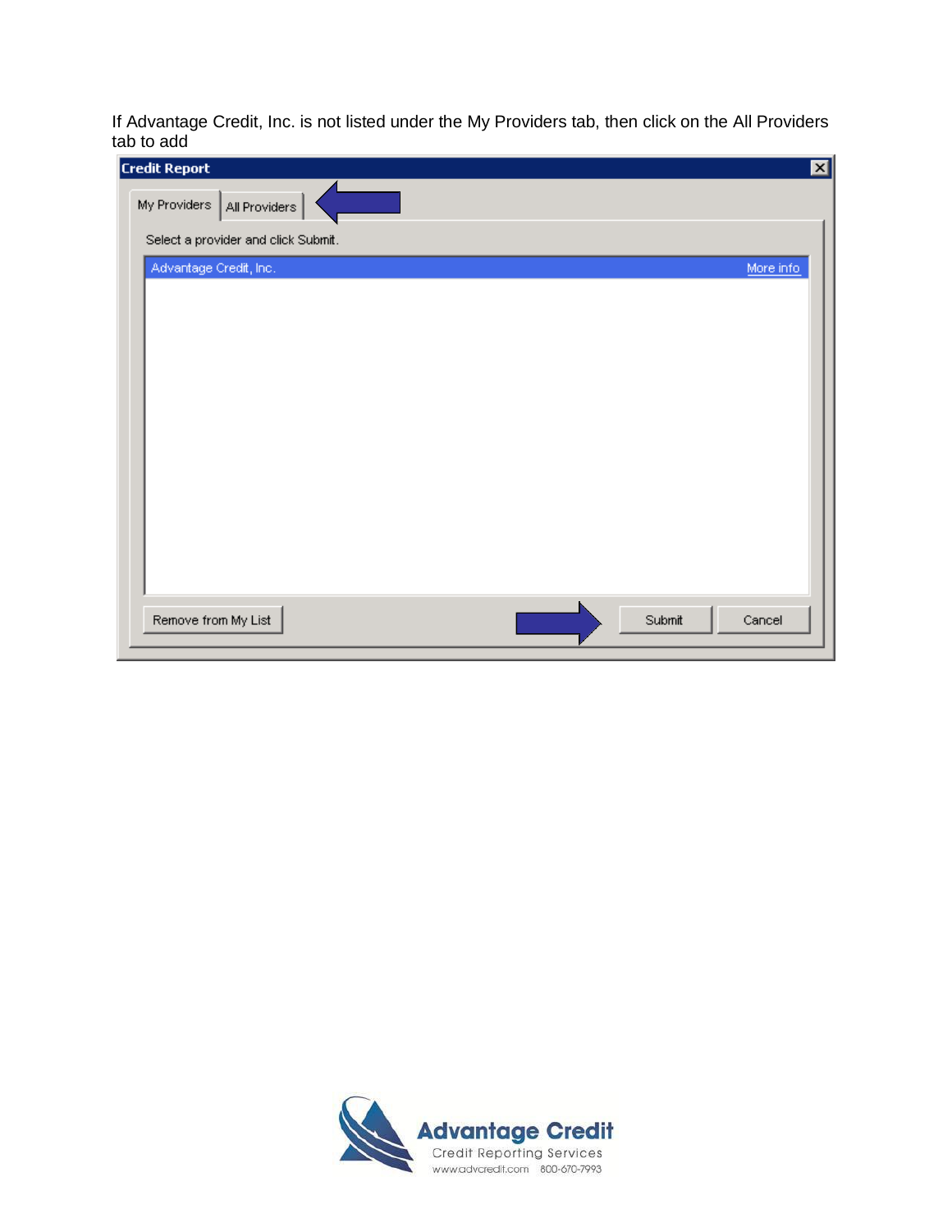If Advantage Credit, Inc. is not listed under the My Providers tab, then click on the All Providers tab to add

| <b>Credit Report</b>                | ⊠         |
|-------------------------------------|-----------|
| My Providers   All Providers        |           |
| Select a provider and click Submit. |           |
| Advantage Credit, Inc.              | More info |
|                                     |           |
|                                     |           |
|                                     |           |
|                                     |           |
|                                     |           |
|                                     |           |
|                                     |           |
|                                     |           |
|                                     |           |
|                                     |           |
|                                     |           |
| Remove from My List<br>Submit       | Cancel    |

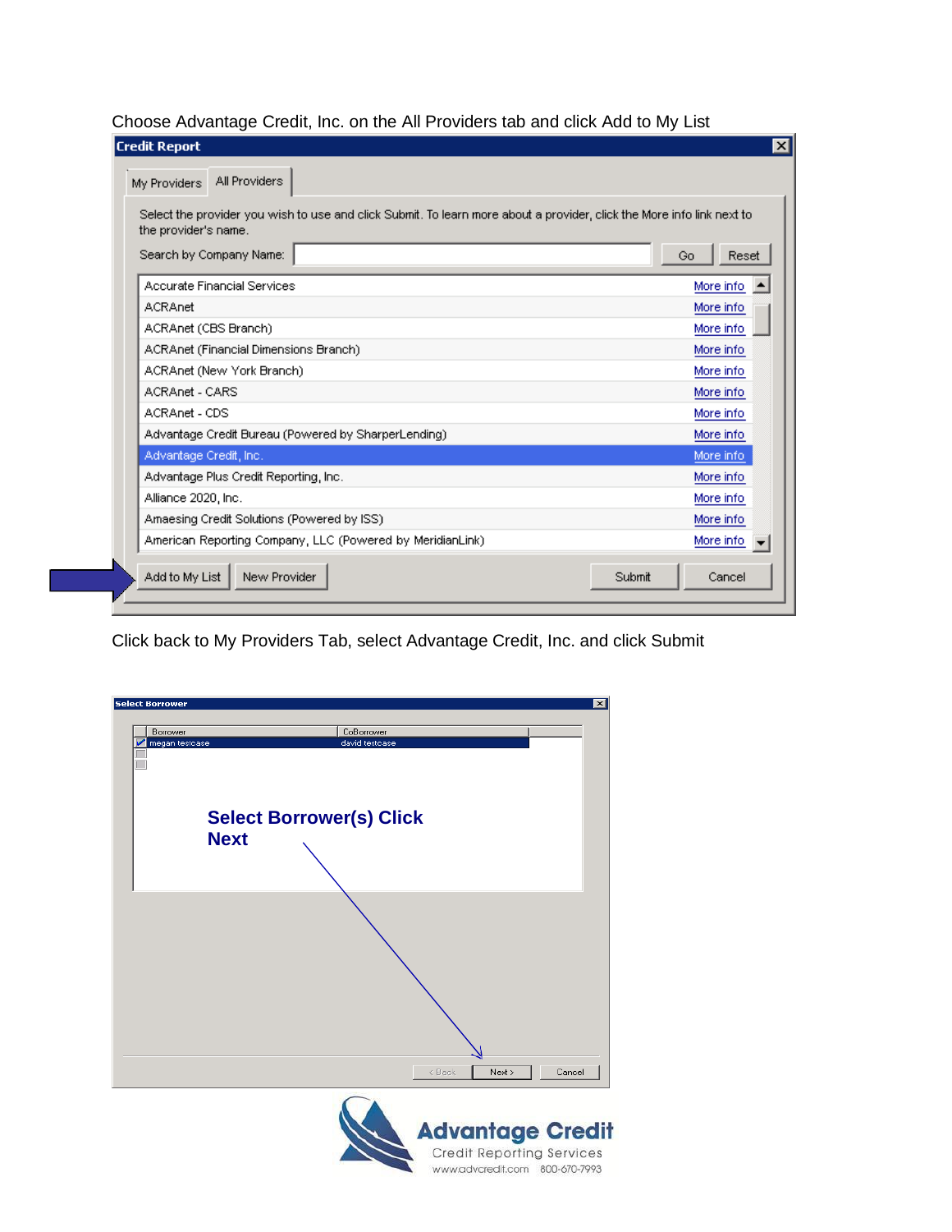Choose Advantage Credit, Inc. on the All Providers tab and click Add to My List

| My Providers<br>Select the provider you wish to use and click Submit. To learn more about a provider, click the More info link next to |             |
|----------------------------------------------------------------------------------------------------------------------------------------|-------------|
| the provider's name.<br>Search by Company Name:                                                                                        | Reset<br>Go |
| Accurate Financial Services                                                                                                            | More info.  |
| <b>ACRAnet</b>                                                                                                                         | More info.  |
| ACRAnet (CBS Branch)                                                                                                                   | More info   |
| ACRAnet (Financial Dimensions Branch)                                                                                                  | More info   |
| ACRAnet (New York Branch)                                                                                                              | More info   |
| ACRAnet - CARS                                                                                                                         | More info   |
| ACRAnet - CDS                                                                                                                          | More info   |
| Advantage Credit Bureau (Powered by SharperLending)                                                                                    | More info.  |
| Advantage Credit, Inc.                                                                                                                 | More info.  |
| Advantage Plus Credit Reporting, Inc.                                                                                                  | More info   |
| Alliance 2020, Inc.                                                                                                                    | More info   |
| Amaesing Credit Solutions (Powered by ISS)                                                                                             | More info   |
| American Reporting Company, LLC (Powered by MeridianLink)                                                                              | More info   |

Click back to My Providers Tab, select Advantage Credit, Inc. and click Submit

| <b>Select Borrower</b> | $\vert x \vert$                  |
|------------------------|----------------------------------|
| Borrower               | CoBorrower                       |
| megan testoase         | david testcase                   |
|                        |                                  |
|                        | <b>Select Borrower(s) Click</b>  |
|                        | <b>Next</b>                      |
|                        |                                  |
|                        |                                  |
|                        |                                  |
|                        |                                  |
|                        |                                  |
|                        |                                  |
|                        |                                  |
|                        |                                  |
|                        |                                  |
|                        | $<$ Back<br>Cancel<br>Next >     |
|                        |                                  |
|                        | <b>Advantage Credit</b>          |
|                        | <b>Credit Reporting Services</b> |
|                        | www.advcredit.com 800-670-7993   |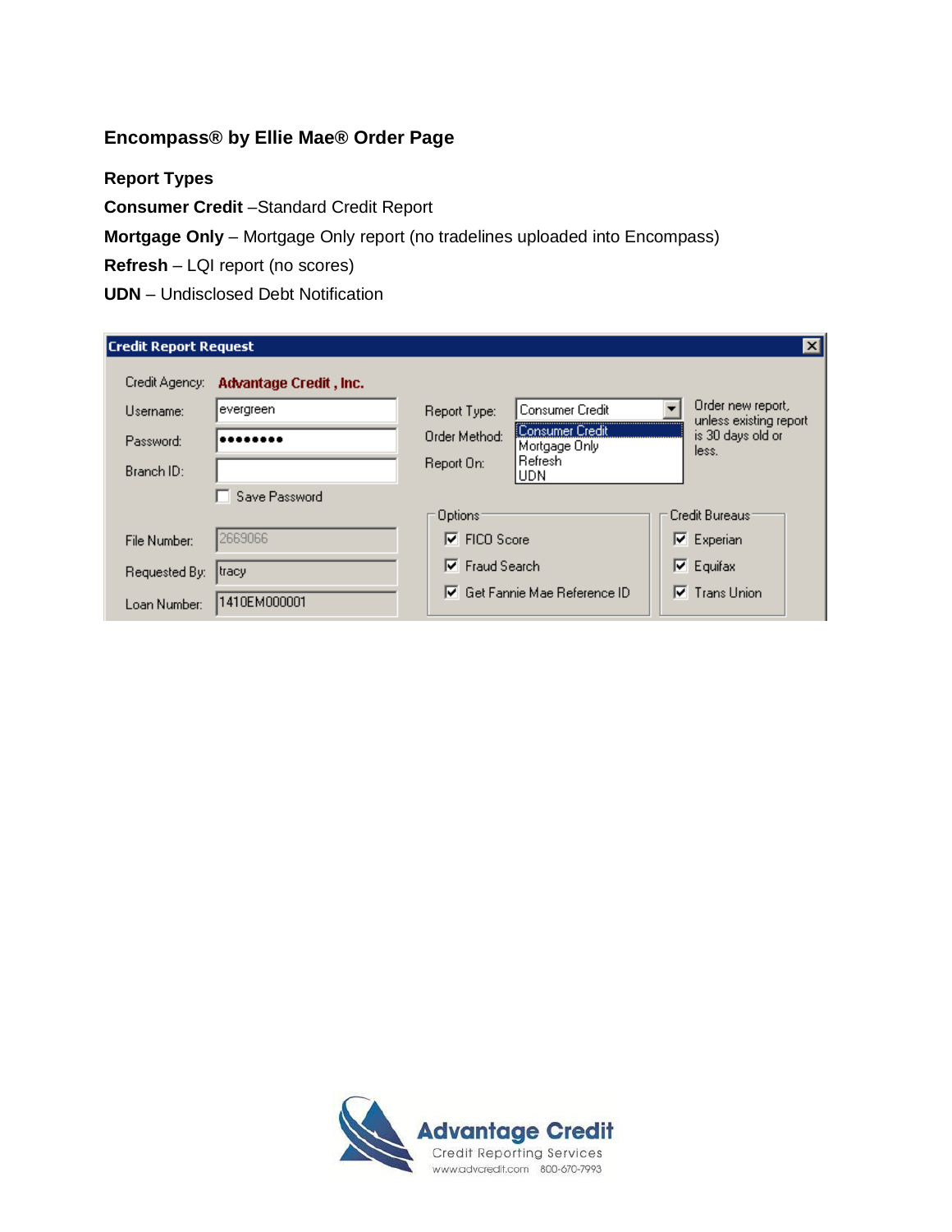# **Encompass® by Ellie Mae® Order Page**

## **Report Types**

**Consumer Credit** –Standard Credit Report

**Mortgage Only** – Mortgage Only report (no tradelines uploaded into Encompass)

**Refresh** – LQI report (no scores)

**UDN** – Undisclosed Debt Notification

| <b>Credit Report Request</b> |                        |                           |                                  |                          | ×l                                          |
|------------------------------|------------------------|---------------------------|----------------------------------|--------------------------|---------------------------------------------|
| Credit Agency:               | Advantage Credit, Inc. |                           |                                  |                          |                                             |
| Username:                    | evergreen              | Report Type:              | Consumer Credit                  | $\overline{\phantom{a}}$ | Order new report,<br>unless existing report |
| Password:                    |                        | Order Method:             | Consumer Credit<br>Mortgage Only |                          | is 30 days old or<br>less.                  |
| Branch ID:                   |                        | Report On:                | l Refresh i<br>IUDN.             |                          |                                             |
|                              | Save Password          |                           |                                  |                          |                                             |
|                              |                        | Options:                  |                                  |                          | Credit Bureaus:                             |
| File Number:                 | 2669066                | FICO Score<br> ⊽          |                                  |                          | $\nabla$ Experian                           |
| Requested By:                | tracy                  | <b>Fraud Search</b><br> ⊽ |                                  |                          | $ \nabla $ Equifax                          |
| Loan Number:                 | 1410EM000001           | ⊮                         | Get Fannie Mae Reference ID      |                          | $\nabla$ Trans Union                        |

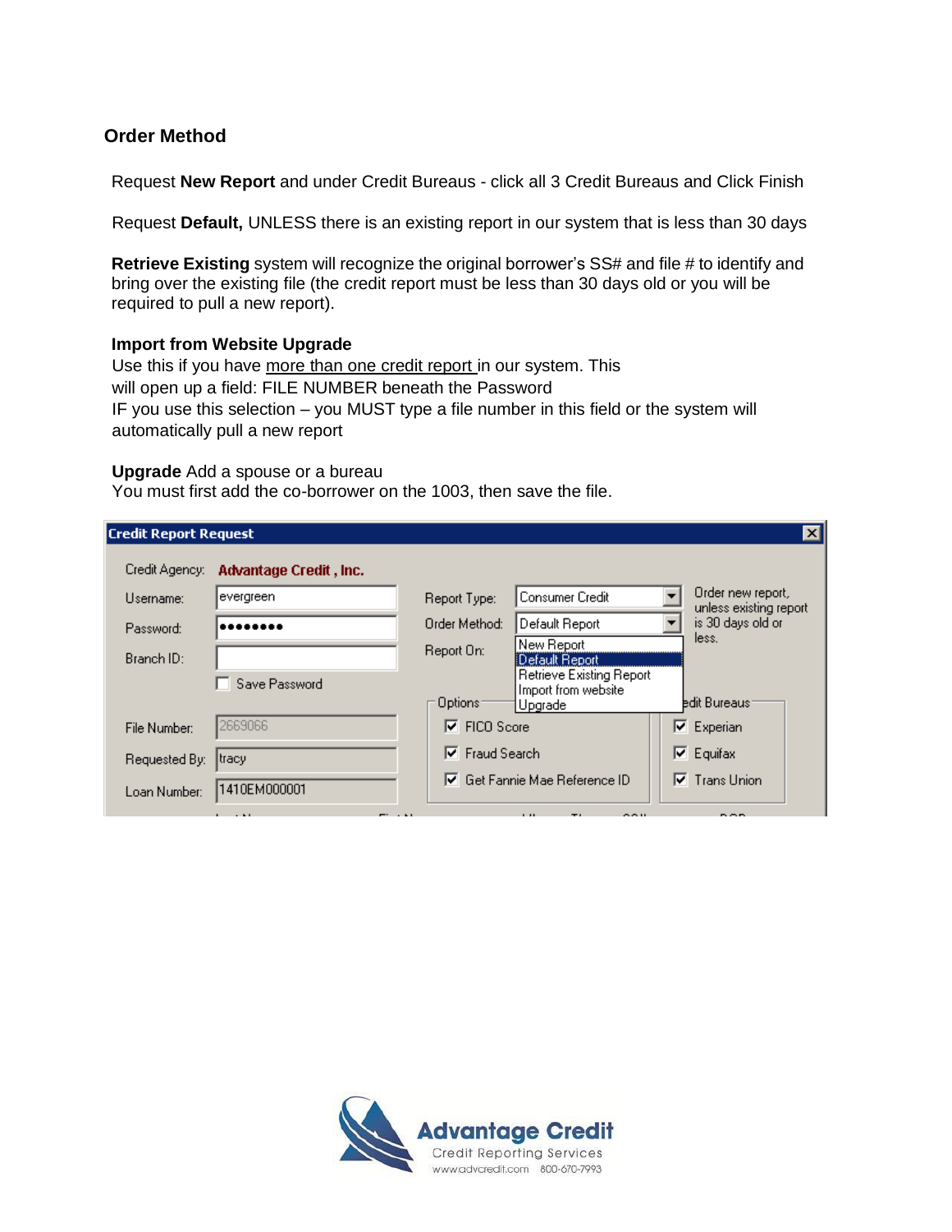## **Order Method**

Request **New Report** and under Credit Bureaus - click all 3 Credit Bureaus and Click Finish

Request **Default,** UNLESS there is an existing report in our system that is less than 30 days

**Retrieve Existing** system will recognize the original borrower's SS# and file # to identify and bring over the existing file (the credit report must be less than 30 days old or you will be required to pull a new report).

#### **Import from Website Upgrade**

Use this if you have more than one credit report in our system. This will open up a field: FILE NUMBER beneath the Password IF you use this selection – you MUST type a file number in this field or the system will automatically pull a new report

#### **Upgrade** Add a spouse or a bureau

You must first add the co-borrower on the 1003, then save the file.

| <b>Credit Report Request</b> |                        |                                                                        | $\vert x \vert$                             |
|------------------------------|------------------------|------------------------------------------------------------------------|---------------------------------------------|
| Credit Agency:               | Advantage Credit, Inc. |                                                                        |                                             |
| Username:                    | evergreen              | Consumer Credit<br>Report Type:                                        | Order new report,<br>unless existing report |
| Password:                    |                        | Order Method:<br>Default Report                                        | is 30 days old or                           |
| Branch ID:                   |                        | New Report<br>Report On:<br>Default Report                             | less.                                       |
|                              | Save Password          | Retrieve Existing Report<br>Import from website<br>Options:<br>Upgrade | edit Bureaus:                               |
| File Number:                 | 2669066                | ⊽<br>FICO Score                                                        | $\nabla$ Experian                           |
| Requested By:                | tracy                  | <b>Fraud Search</b><br>⊽                                               | $\nabla$ Equifax                            |
| Loan Number:                 | 1410EM000001           | $\nabla$ Get Fannie Mae Reference ID                                   | $\nabla$ Trans Union                        |
|                              |                        |                                                                        |                                             |

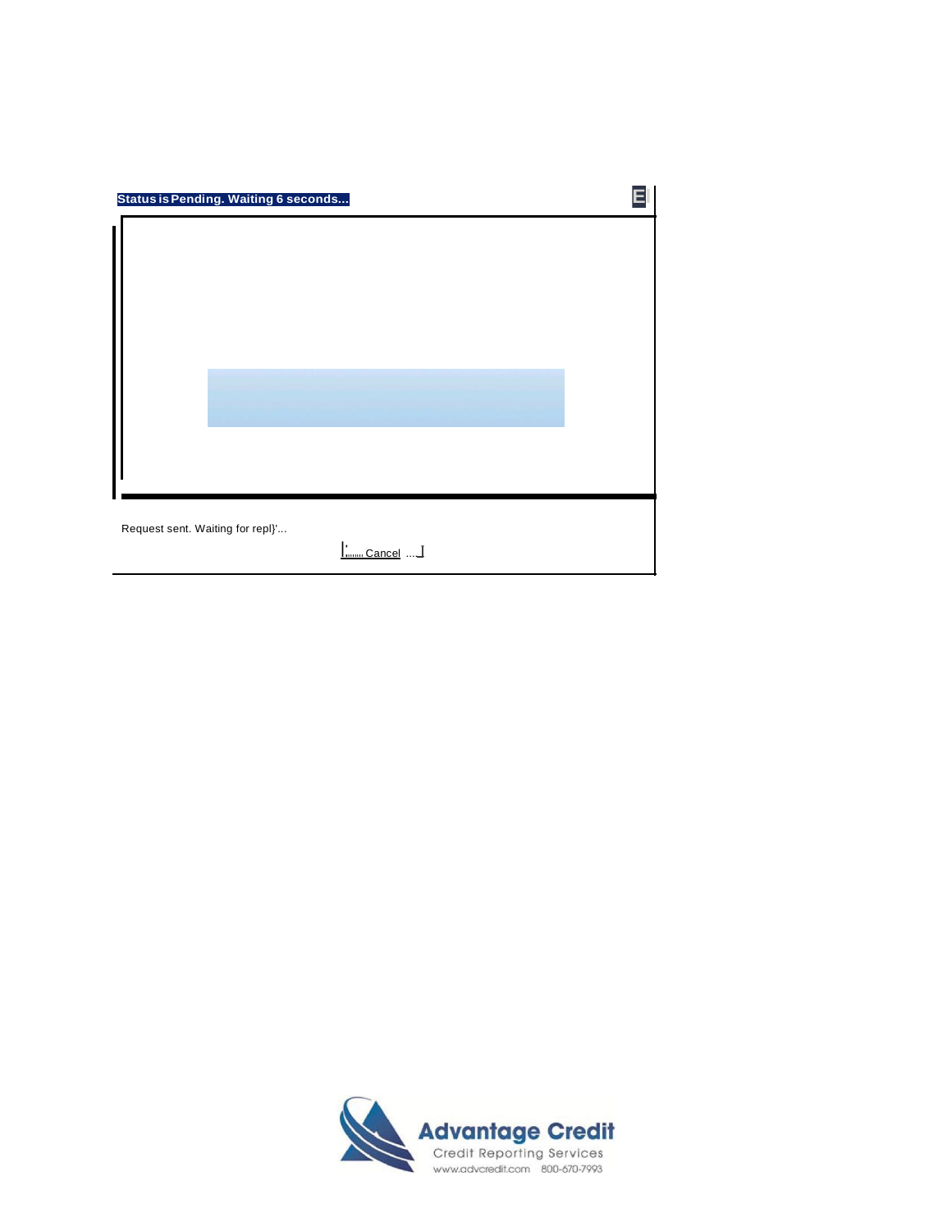| Status is Pending. Waiting 6 seconds                   |  |
|--------------------------------------------------------|--|
|                                                        |  |
| Request sent. Waiting for repl}'<br><u> : Cancel</u> I |  |

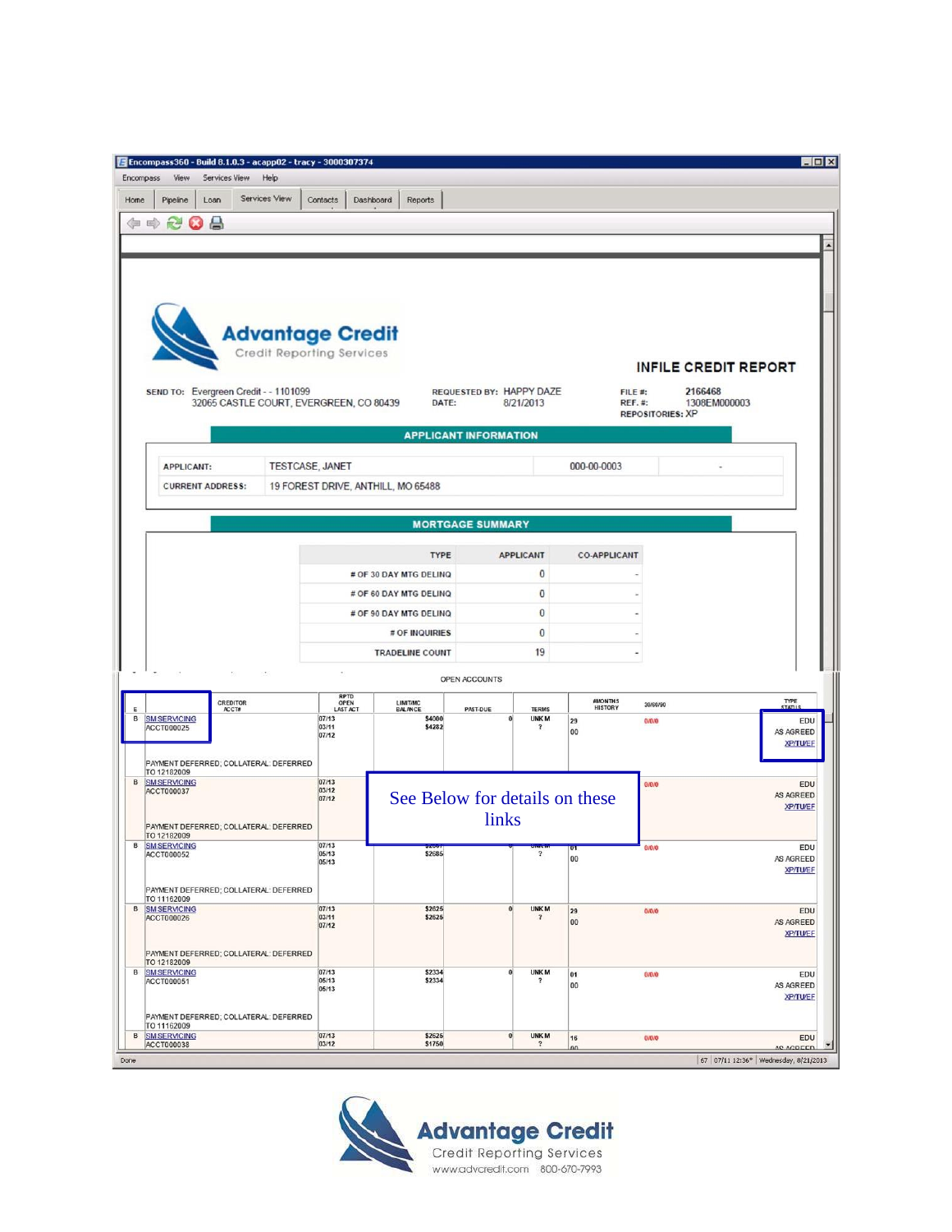| Encompass360 - Build 8.1.0.3 - acapp02 - tracy - 3000307374<br>Encompass<br>View<br>Services View | Help                                    |                          |                                    |                                                    |                           |                                          | $ \Box$ $\times$                     |
|---------------------------------------------------------------------------------------------------|-----------------------------------------|--------------------------|------------------------------------|----------------------------------------------------|---------------------------|------------------------------------------|--------------------------------------|
| Pipeline<br>Loan<br>Home                                                                          | Services View                           | Contacts<br>Dashboard    | Reports                            |                                                    |                           |                                          |                                      |
|                                                                                                   |                                         |                          |                                    |                                                    |                           |                                          |                                      |
| $\triangle$<br>中中<br>R.<br>Ø                                                                      |                                         |                          |                                    |                                                    |                           |                                          |                                      |
|                                                                                                   |                                         |                          |                                    |                                                    |                           |                                          |                                      |
|                                                                                                   |                                         |                          |                                    |                                                    |                           |                                          |                                      |
|                                                                                                   |                                         |                          |                                    |                                                    |                           |                                          |                                      |
|                                                                                                   |                                         |                          |                                    |                                                    |                           |                                          |                                      |
|                                                                                                   | <b>Advantage Credit</b>                 |                          |                                    |                                                    |                           |                                          |                                      |
|                                                                                                   | Credit Reporting Services               |                          |                                    |                                                    |                           |                                          | <b>INFILE CREDIT REPORT</b>          |
| SEND TO: Evergreen Credit - - 1101099                                                             |                                         |                          |                                    | REQUESTED BY: HAPPY DAZE                           |                           | FILE #:                                  | 2166468                              |
|                                                                                                   | 32065 CASTLE COURT, EVERGREEN, CO 80439 |                          | DATE:                              | 8/21/2013                                          |                           | <b>REF.#:</b><br><b>REPOSITORIES: XP</b> | 1308EM000003                         |
|                                                                                                   |                                         |                          |                                    |                                                    |                           |                                          |                                      |
|                                                                                                   |                                         |                          |                                    | <b>APPLICANT INFORMATION</b>                       |                           |                                          |                                      |
| <b>APPLICANT:</b>                                                                                 | TESTCASE, JANET                         |                          |                                    |                                                    | 000-00-0003               |                                          |                                      |
| <b>CURRENT ADDRESS:</b>                                                                           |                                         |                          | 19 FOREST DRIVE, ANTHILL, MO 65488 |                                                    |                           |                                          |                                      |
|                                                                                                   |                                         |                          |                                    |                                                    |                           |                                          |                                      |
|                                                                                                   |                                         |                          |                                    | <b>MORTGAGE SUMMARY</b>                            |                           |                                          |                                      |
|                                                                                                   |                                         |                          | <b>TYPE</b>                        | <b>APPLICANT</b>                                   | <b>CO-APPLICANT</b>       |                                          |                                      |
|                                                                                                   |                                         |                          | # OF 30 DAY MTG DELINQ             | $\bf{0}$                                           |                           |                                          |                                      |
|                                                                                                   |                                         |                          | # OF 60 DAY MTG DELINQ             | $\bf{0}$                                           |                           |                                          |                                      |
|                                                                                                   |                                         |                          | # OF 90 DAY MTG DELINQ             | $\bf{0}$                                           |                           |                                          |                                      |
|                                                                                                   |                                         |                          | # OF INQUIRIES                     | 0                                                  |                           |                                          |                                      |
|                                                                                                   |                                         |                          | <b>TRADELINE COUNT</b>             | 19                                                 |                           |                                          |                                      |
|                                                                                                   |                                         |                          |                                    | OPEN ACCOUNTS                                      |                           |                                          |                                      |
| CREDITOR<br>Ε<br>ACCT#                                                                            |                                         | RPTD<br>OPEN<br>LAST ACT | LIMIT/MC<br><b>BALANCE</b>         | PAST-DUE<br><b>TERMS</b>                           | #MONTHS<br><b>HISTORY</b> | 30/60/90                                 | TYPE<br><b>STATUS</b>                |
| в<br><b>SM SERVICING</b><br>ACCT000025                                                            |                                         | 07/13<br>03/11           | \$4000<br>\$4282                   | <b>UNKM</b><br>$\bf{0}$<br>$\overline{\mathbf{r}}$ | 29<br>00                  | 0/0/0                                    | EDU<br>AS AGREED                     |
|                                                                                                   |                                         | 07/12                    |                                    |                                                    |                           |                                          | <b>XP/TU/EF</b>                      |
| PAYMENT DEFERRED; COLLATERAL: DEFERRED<br>TO 12182009                                             |                                         |                          |                                    |                                                    |                           |                                          |                                      |
| B<br><b>SM SERVICING</b><br>ACCT000037                                                            |                                         | 07/13<br>03/12           |                                    |                                                    |                           | 0/0/0                                    | EDU<br>AS AGREED                     |
|                                                                                                   |                                         | 07/12                    |                                    | See Below for details on these                     |                           |                                          | <b>XP/TU/EF</b>                      |
| PAYMENT DEFERRED; COLLATERAL: DEFERRED<br>TO 12182009                                             |                                         |                          |                                    | links                                              |                           |                                          |                                      |
| <b>SM SERVICING</b><br>в<br>ACCT000052                                                            |                                         | 07/13<br>05/13           | \$2685                             | $\overline{\mathbf{?}}$                            | 00                        | <b><i><u>Ururu</u></i></b>               | EDU<br>AS AGREED                     |
|                                                                                                   |                                         | 05/13                    |                                    |                                                    |                           |                                          | <b>XP/TU/EF</b>                      |
| PAYMENT DEFERRED; COLLATERAL: DEFERRED<br>TO 11162009                                             |                                         |                          |                                    |                                                    |                           |                                          |                                      |
| <b>B</b> SMSERVICING<br>ACCT000026                                                                |                                         | 07/13<br>03/11           | \$2625<br>\$2625                   | <b>UNKM</b><br>$\bf{0}$<br>$\overline{\mathbf{r}}$ | 29<br>00                  | 0/0/0                                    | EDU<br>AS AGREED                     |
|                                                                                                   |                                         | 07/12                    |                                    |                                                    |                           |                                          | <b>XP/TU/EF</b>                      |
| PAYMENT DEFERRED; COLLATERAL: DEFERRED<br>TO 12182009                                             |                                         |                          |                                    |                                                    |                           |                                          |                                      |
| <b>B</b> SMSERVICING<br>ACCT000051                                                                |                                         | 07/13<br>05/13           | \$2334<br>\$2334                   | <b>UNKM</b><br>$\bf{0}$<br>$\overline{\mathbf{r}}$ | 01<br>00                  | 0/0/0                                    | EDU<br>AS AGREED                     |
|                                                                                                   |                                         | 05/13                    |                                    |                                                    |                           |                                          | <b>XP/TU/EF</b>                      |
| PAYMENT DEFERRED; COLLATERAL: DEFERRED<br>TO 11162009                                             |                                         |                          |                                    |                                                    |                           |                                          |                                      |
| B<br><b>SM SERVICING</b><br><b>ACCT000038</b>                                                     |                                         | 07/13<br>03/12           | \$2625<br>\$1750                   | <b>UNKM</b><br> 0 <br>$\ddot{\phantom{0}}$         | 16<br>$\Omega$            | 0/0/0                                    | EDU<br>AR AGREED                     |
| Done                                                                                              |                                         |                          |                                    |                                                    |                           |                                          | 67 07/11 12:36* Wednesday, 8/21/2013 |

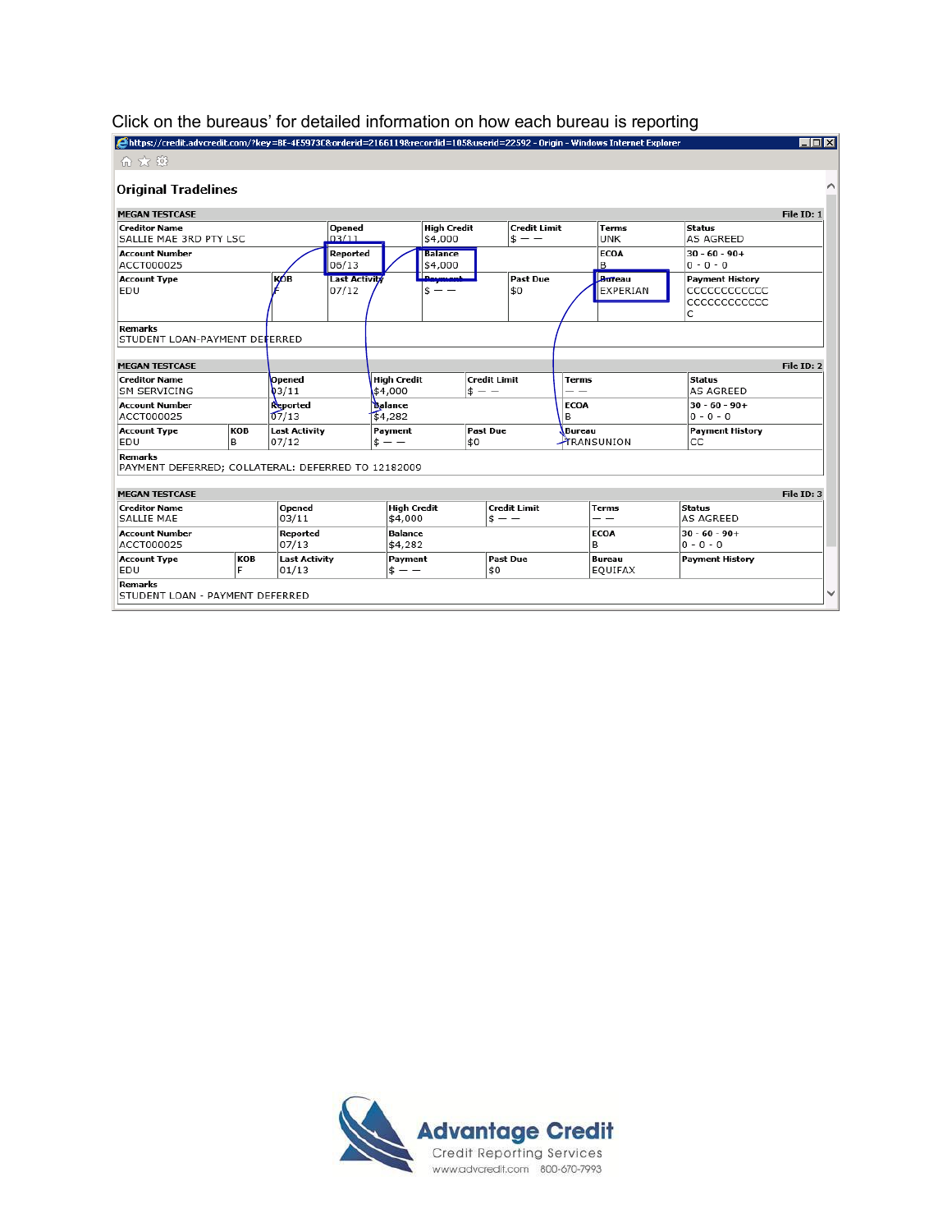| https://credit.advcredit.com/?key=BE-4E5973C&orderid=2166119&recordid=105&userid=22592 - Origin - Windows Internet Explorer / |           |                                |                               |                               |                               |                                |                                |                  |                            |                                                            | $\blacksquare$ $\blacksquare$ $\times$ |
|-------------------------------------------------------------------------------------------------------------------------------|-----------|--------------------------------|-------------------------------|-------------------------------|-------------------------------|--------------------------------|--------------------------------|------------------|----------------------------|------------------------------------------------------------|----------------------------------------|
| 价太多                                                                                                                           |           |                                |                               |                               |                               |                                |                                |                  |                            |                                                            |                                        |
| <b>Original Tradelines</b>                                                                                                    |           |                                |                               |                               |                               |                                |                                |                  |                            |                                                            |                                        |
| <b>MEGAN TESTCASE</b>                                                                                                         |           |                                |                               |                               |                               |                                |                                |                  |                            |                                                            | File ID: 1                             |
| <b>Creditor Name</b><br>SALLIE MAE 3RD PTY LSC                                                                                |           |                                | Opened<br>03/11               |                               | <b>High Credit</b><br>\$4,000 |                                | <b>Credit Limit</b><br>$s - -$ |                  | <b>Terms</b><br><b>UNK</b> | <b>Status</b><br>AS AGREED                                 |                                        |
| <b>Account Number</b><br>ACCT000025                                                                                           |           |                                | Reported<br>06/13             |                               | <b>Balance</b><br>\$4,000     |                                |                                |                  | <b>ECOA</b><br>B           | $30 - 60 - 90 +$<br>$0 - 0 - 0$                            |                                        |
| <b>Account Type</b><br>EDU                                                                                                    |           | қов                            | <b>Last Activity</b><br>07/12 |                               | للممسيدها<br>Ś.<br>$ -$       |                                | <b>Past Due</b><br>50          |                  | Bureau<br>EXPERIAN         | <b>Payment History</b><br>CCCCCCCCCCCC<br>CCCCCCCCCCC<br>C |                                        |
| <b>Remarks</b><br>STUDENT LOAN-PAYMENT DEFERRED                                                                               |           |                                |                               |                               |                               |                                |                                |                  |                            |                                                            |                                        |
| <b>MEGAN TESTCASE</b>                                                                                                         |           |                                |                               |                               |                               |                                |                                |                  |                            |                                                            | File ID: 2                             |
| <b>Creditor Name</b><br><b>SM SERVICING</b>                                                                                   |           | <b>Opened</b><br>$\sqrt{3/11}$ |                               | <b>High Credit</b><br>\$4,000 |                               | <b>Credit Limit</b><br>$s - -$ |                                | Terms            |                            | Status<br><b>AS AGREED</b>                                 |                                        |
| <b>Account Number</b><br>ACCT000025                                                                                           |           | Reported<br>07/13              |                               | Balance<br>\$4,282            |                               |                                |                                | <b>ECOA</b><br>B |                            | $30 - 60 - 90 +$<br>$0 - 0 - 0$                            |                                        |
| <b>Account Type</b><br>EDU                                                                                                    | KOB<br>B  | <b>Last Activity</b><br>07/12  |                               | Payment<br>$s - -$            |                               | <b>Past Due</b><br>\$0         |                                | Bureau           | <b>TRANSUNION</b>          | <b>Payment History</b><br>CC                               |                                        |
| <b>Remarks</b><br>PAYMENT DEFERRED; COLLATERAL: DEFERRED TO 12182009                                                          |           |                                |                               |                               |                               |                                |                                |                  |                            |                                                            |                                        |
| <b>MEGAN TESTCASE</b>                                                                                                         |           |                                |                               |                               |                               |                                |                                |                  |                            |                                                            | File ID: 3                             |
| <b>Creditor Name</b><br>SALLIE MAF                                                                                            |           | Opened<br>03/11                |                               | <b>High Credit</b><br>\$4,000 |                               |                                | <b>Credit Limit</b><br>$s - -$ |                  | <b>Terms</b><br>- -        | <b>Status</b><br>AS AGREED                                 |                                        |
| <b>Account Number</b><br>ACCT000025                                                                                           |           | Reported<br>07/13              |                               | <b>Balance</b><br>\$4,282     |                               |                                |                                |                  | <b>ECOA</b><br>В           | $30 - 60 - 90 +$<br>$0 - 0 - 0$                            |                                        |
| <b>Account Type</b><br>EDU                                                                                                    | KOB<br>ΙF | <b>Last Activity</b><br>01/13  |                               | Payment<br>$s - -$            |                               | \$0                            | <b>Past Due</b>                |                  | <b>Bureau</b><br>EQUIFAX   | <b>Payment History</b>                                     |                                        |
| <b>Remarks</b><br>STUDENT LOAN - PAYMENT DEFERRED                                                                             |           |                                |                               |                               |                               |                                |                                |                  |                            |                                                            |                                        |

### Click on the bureaus' for detailed information on how each bureau is reporting